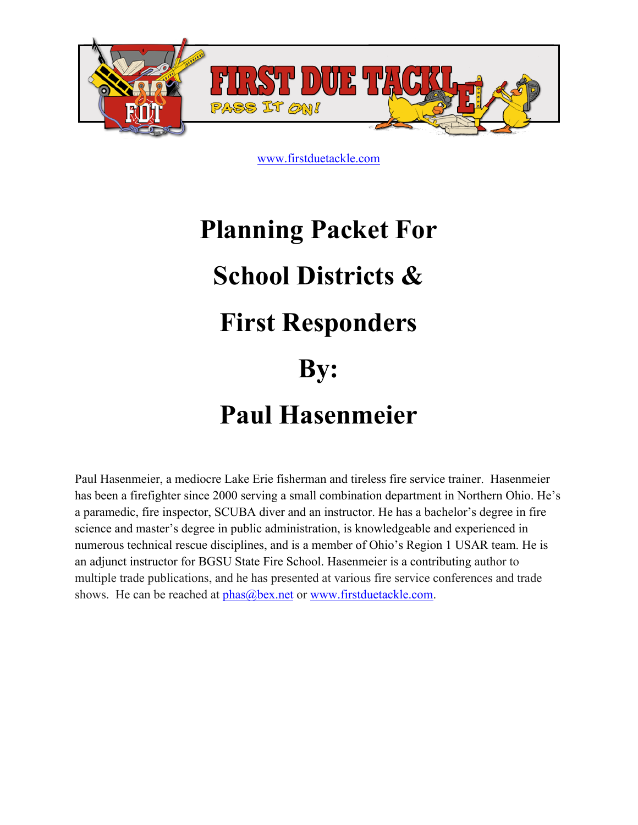

# **Planning Packet For School Districts & First Responders By: Paul Hasenmeier**

Paul Hasenmeier, a mediocre Lake Erie fisherman and tireless fire service trainer. Hasenmeier has been a firefighter since 2000 serving a small combination department in Northern Ohio. He's a paramedic, fire inspector, SCUBA diver and an instructor. He has a bachelor's degree in fire science and master's degree in public administration, is knowledgeable and experienced in numerous technical rescue disciplines, and is a member of Ohio's Region 1 USAR team. He is an adjunct instructor for BGSU State Fire School. Hasenmeier is a contributing author to multiple trade publications, and he has presented at various fire service conferences and trade shows. He can be reached at  $phas@bex.net$  or www.firstduetackle.com.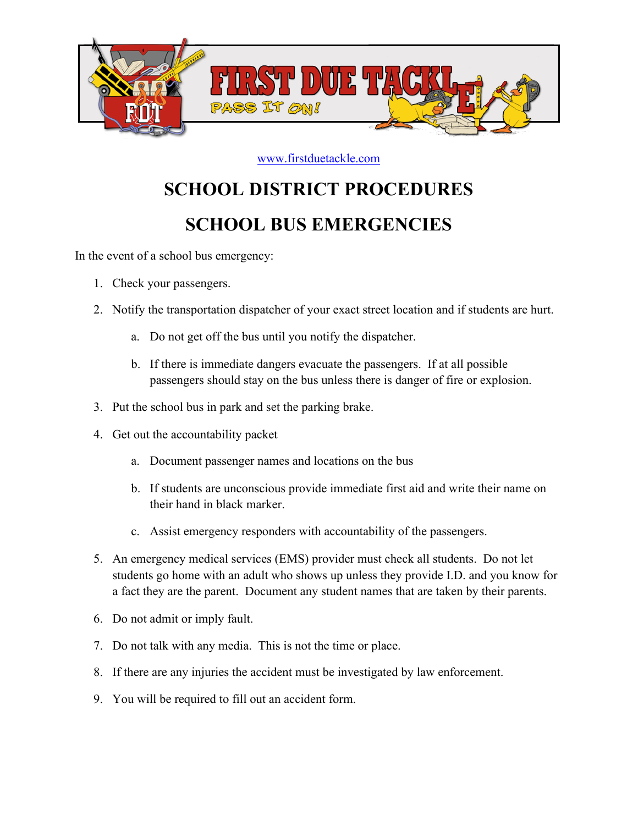

## **SCHOOL DISTRICT PROCEDURES**

## **SCHOOL BUS EMERGENCIES**

In the event of a school bus emergency:

- 1. Check your passengers.
- 2. Notify the transportation dispatcher of your exact street location and if students are hurt.
	- a. Do not get off the bus until you notify the dispatcher.
	- b. If there is immediate dangers evacuate the passengers. If at all possible passengers should stay on the bus unless there is danger of fire or explosion.
- 3. Put the school bus in park and set the parking brake.
- 4. Get out the accountability packet
	- a. Document passenger names and locations on the bus
	- b. If students are unconscious provide immediate first aid and write their name on their hand in black marker.
	- c. Assist emergency responders with accountability of the passengers.
- 5. An emergency medical services (EMS) provider must check all students. Do not let students go home with an adult who shows up unless they provide I.D. and you know for a fact they are the parent. Document any student names that are taken by their parents.
- 6. Do not admit or imply fault.
- 7. Do not talk with any media. This is not the time or place.
- 8. If there are any injuries the accident must be investigated by law enforcement.
- 9. You will be required to fill out an accident form.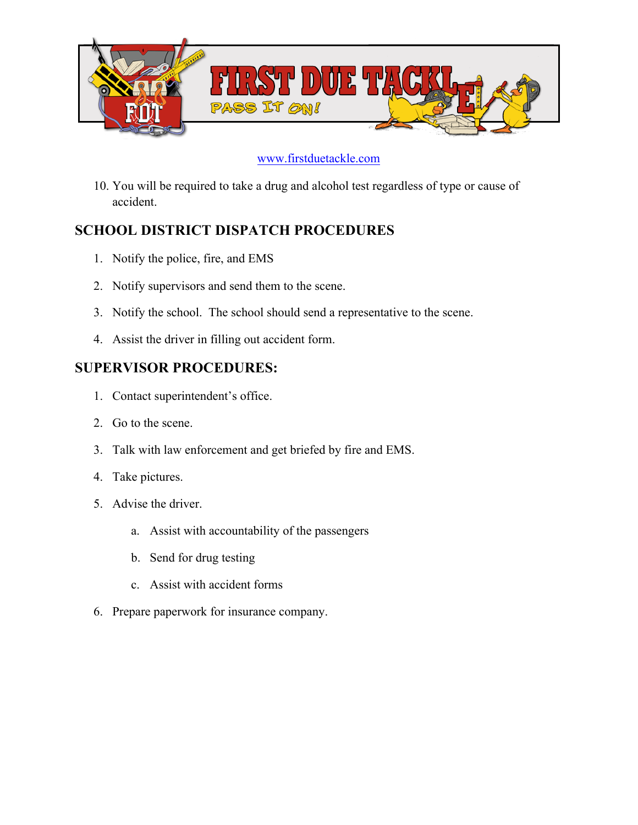

10. You will be required to take a drug and alcohol test regardless of type or cause of accident.

#### **SCHOOL DISTRICT DISPATCH PROCEDURES**

- 1. Notify the police, fire, and EMS
- 2. Notify supervisors and send them to the scene.
- 3. Notify the school. The school should send a representative to the scene.
- 4. Assist the driver in filling out accident form.

#### **SUPERVISOR PROCEDURES:**

- 1. Contact superintendent's office.
- 2. Go to the scene.
- 3. Talk with law enforcement and get briefed by fire and EMS.
- 4. Take pictures.
- 5. Advise the driver.
	- a. Assist with accountability of the passengers
	- b. Send for drug testing
	- c. Assist with accident forms
- 6. Prepare paperwork for insurance company.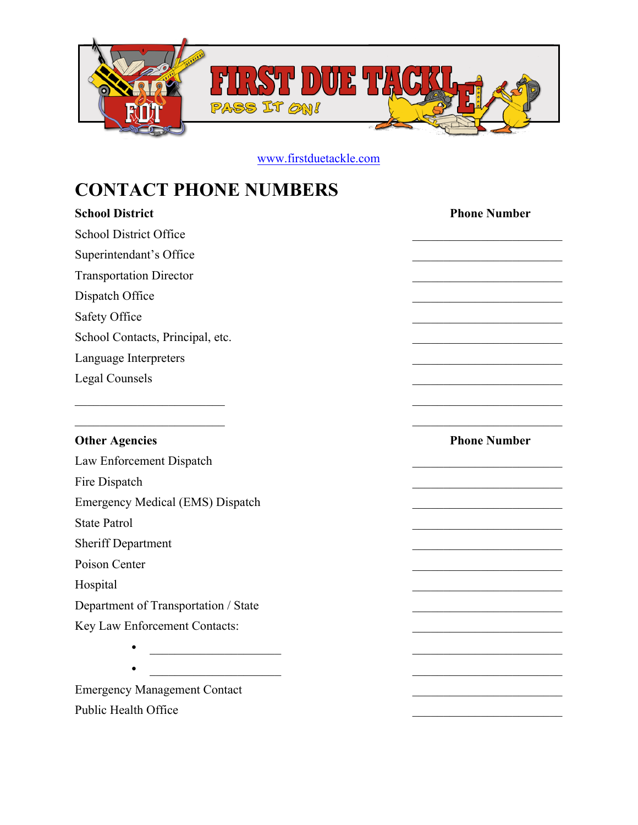

## **CONTACT PHONE NUMBERS**

| <b>School District</b>                                             | <b>Phone Number</b>                               |
|--------------------------------------------------------------------|---------------------------------------------------|
| <b>School District Office</b>                                      |                                                   |
| Superintendant's Office                                            |                                                   |
| <b>Transportation Director</b>                                     |                                                   |
| Dispatch Office                                                    |                                                   |
| Safety Office                                                      |                                                   |
| School Contacts, Principal, etc.                                   |                                                   |
| Language Interpreters                                              |                                                   |
| <b>Legal Counsels</b>                                              |                                                   |
| <u> 1989 - Johann John Harry Barn, mars an t-Amerikaansk fersk</u> | <u> 1989 - Johann Barbara, martxa alemaniar a</u> |
|                                                                    |                                                   |
| <b>Other Agencies</b>                                              | <b>Phone Number</b>                               |
| Law Enforcement Dispatch                                           |                                                   |
| Fire Dispatch                                                      |                                                   |
| Emergency Medical (EMS) Dispatch                                   |                                                   |
| <b>State Patrol</b>                                                |                                                   |
| <b>Sheriff Department</b>                                          |                                                   |
| Poison Center                                                      |                                                   |
| Hospital                                                           |                                                   |
| Department of Transportation / State                               | <u> 1989 - Johann John Stone, mensk politik (</u> |
| Key Law Enforcement Contacts:                                      |                                                   |
|                                                                    |                                                   |
| <u> 1990 - Johann John Barn, mars eta industrial</u>               |                                                   |
| <b>Emergency Management Contact</b>                                |                                                   |
| Public Health Office                                               |                                                   |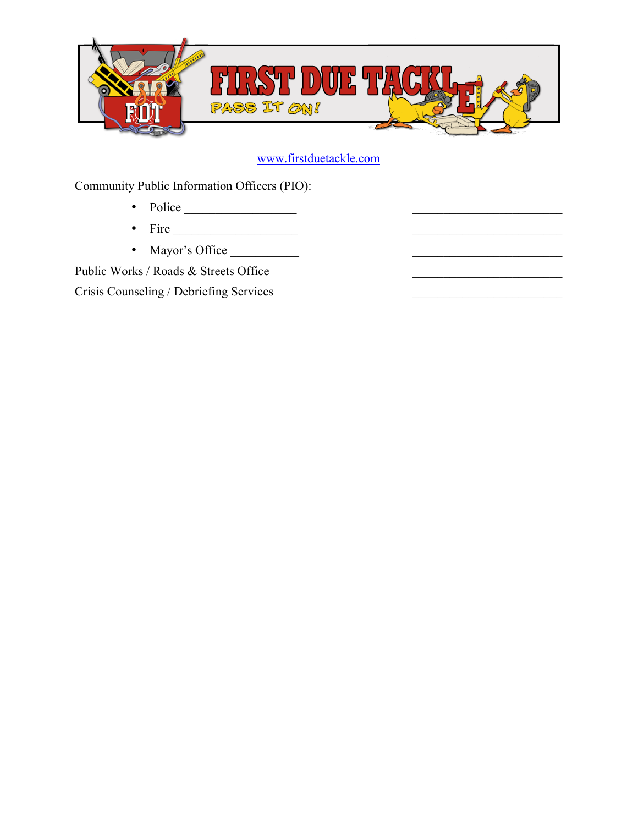

Community Public Information Officers (PIO):

- Police  $\overline{\phantom{a} \phantom{a}}$
- Fire  $\_$
- Mayor's Office \_\_\_\_\_\_\_\_\_\_\_ \_\_\_\_\_\_\_\_\_\_\_\_\_\_\_\_\_\_\_\_\_\_\_\_

Public Works / Roads & Streets Office Crisis Counseling / Debriefing Services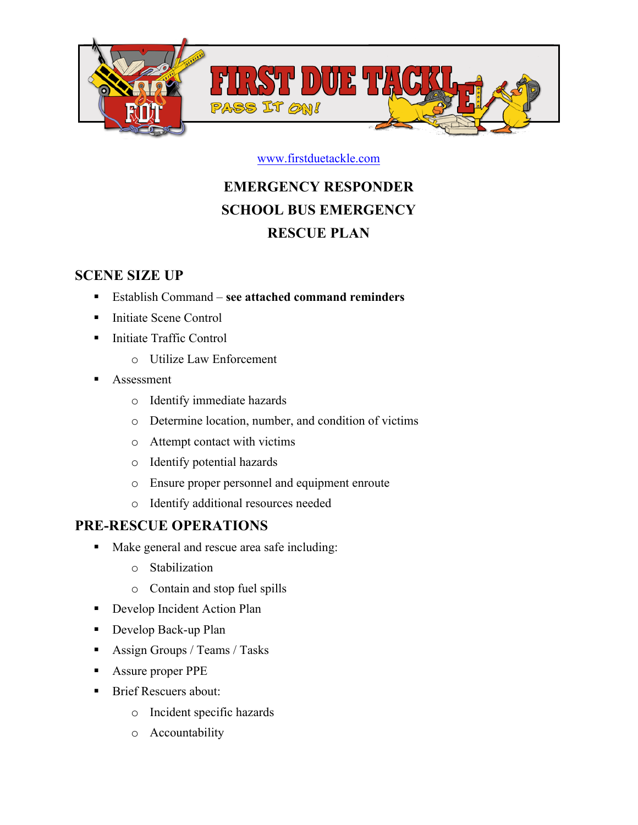

## **EMERGENCY RESPONDER SCHOOL BUS EMERGENCY RESCUE PLAN**

#### **SCENE SIZE UP**

- ! Establish Command **see attached command reminders**
- Initiate Scene Control
- ! Initiate Traffic Control
	- o Utilize Law Enforcement
- **Assessment** 
	- o Identify immediate hazards
	- o Determine location, number, and condition of victims
	- o Attempt contact with victims
	- o Identify potential hazards
	- o Ensure proper personnel and equipment enroute
	- o Identify additional resources needed

#### **PRE-RESCUE OPERATIONS**

- ! Make general and rescue area safe including:
	- o Stabilization
	- o Contain and stop fuel spills
- **•** Develop Incident Action Plan
- ! Develop Back-up Plan
- **Example 3** Assign Groups / Teams / Tasks
- ! Assure proper PPE
- Brief Rescuers about:
	- o Incident specific hazards
	- o Accountability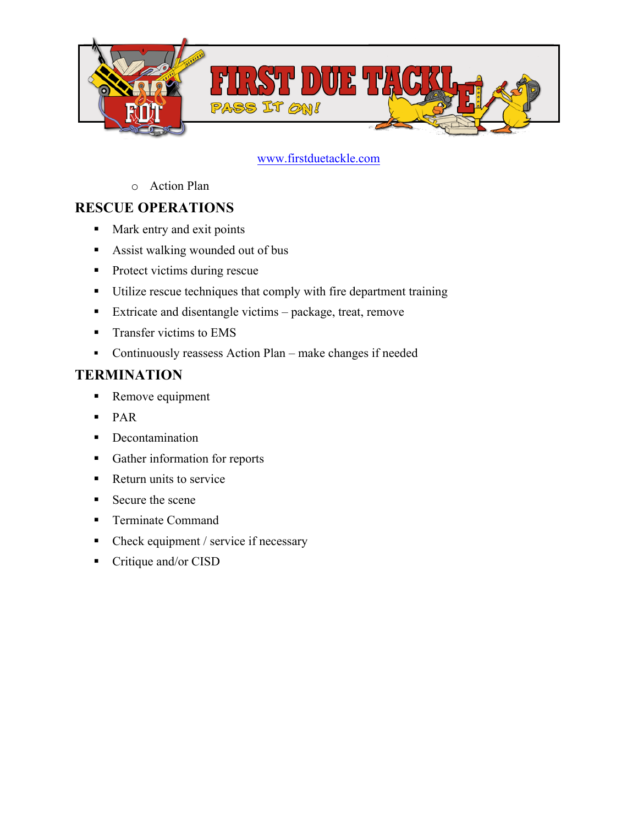

o Action Plan

#### **RESCUE OPERATIONS**

- ! Mark entry and exit points
- Assist walking wounded out of bus
- Protect victims during rescue
- ! Utilize rescue techniques that comply with fire department training
- ! Extricate and disentangle victims package, treat, remove
- **Transfer victims to EMS**
- ! Continuously reassess Action Plan make changes if needed

#### **TERMINATION**

- Remove equipment
- ! PAR
- **•** Decontamination
- ! Gather information for reports
- Return units to service
- Secure the scene
- **Terminate Command**
- Check equipment / service if necessary
- Critique and/or CISD